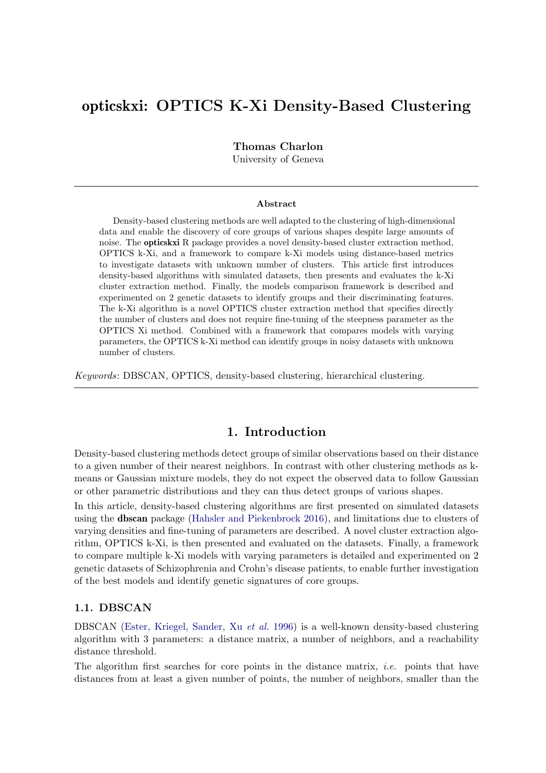# opticskxi: OPTICS K-Xi Density-Based Clustering

Thomas Charlon

University of Geneva

#### Abstract

Density-based clustering methods are well adapted to the clustering of high-dimensional data and enable the discovery of core groups of various shapes despite large amounts of noise. The opticskxi R package provides a novel density-based cluster extraction method, OPTICS k-Xi, and a framework to compare k-Xi models using distance-based metrics to investigate datasets with unknown number of clusters. This article first introduces density-based algorithms with simulated datasets, then presents and evaluates the k-Xi cluster extraction method. Finally, the models comparison framework is described and experimented on 2 genetic datasets to identify groups and their discriminating features. The k-Xi algorithm is a novel OPTICS cluster extraction method that specifies directly the number of clusters and does not require fine-tuning of the steepness parameter as the OPTICS Xi method. Combined with a framework that compares models with varying parameters, the OPTICS k-Xi method can identify groups in noisy datasets with unknown number of clusters.

Keywords: DBSCAN, OPTICS, density-based clustering, hierarchical clustering.

## 1. Introduction

Density-based clustering methods detect groups of similar observations based on their distance to a given number of their nearest neighbors. In contrast with other clustering methods as kmeans or Gaussian mixture models, they do not expect the observed data to follow Gaussian or other parametric distributions and they can thus detect groups of various shapes.

In this article, density-based clustering algorithms are first presented on simulated datasets using the dbscan package [\(Hahsler and Piekenbrock](#page-12-0) [2016\)](#page-12-0), and limitations due to clusters of varying densities and fine-tuning of parameters are described. A novel cluster extraction algorithm, OPTICS k-Xi, is then presented and evaluated on the datasets. Finally, a framework to compare multiple k-Xi models with varying parameters is detailed and experimented on 2 genetic datasets of Schizophrenia and Crohn's disease patients, to enable further investigation of the best models and identify genetic signatures of core groups.

## 1.1. DBSCAN

DBSCAN [\(Ester, Kriegel, Sander, Xu](#page-12-1) et al. [1996\)](#page-12-1) is a well-known density-based clustering algorithm with 3 parameters: a distance matrix, a number of neighbors, and a reachability distance threshold.

The algorithm first searches for core points in the distance matrix, *i.e.* points that have distances from at least a given number of points, the number of neighbors, smaller than the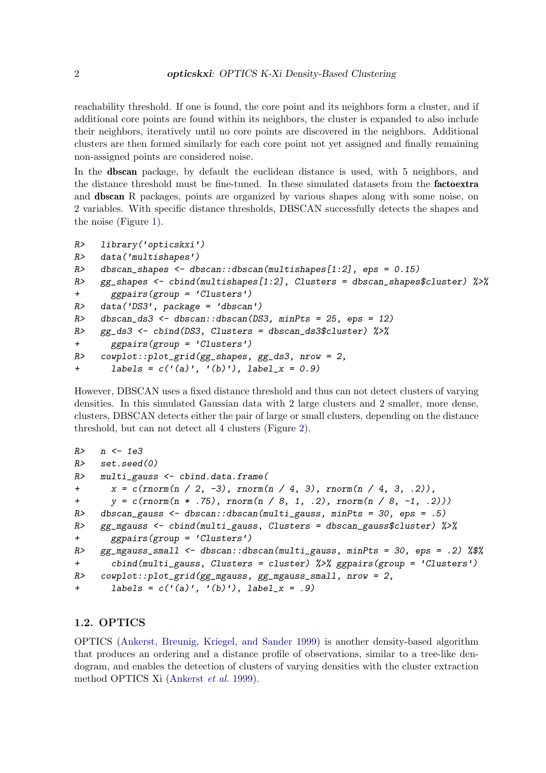reachability threshold. If one is found, the core point and its neighbors form a cluster, and if additional core points are found within its neighbors, the cluster is expanded to also include their neighbors, iteratively until no core points are discovered in the neighbors. Additional clusters are then formed similarly for each core point not yet assigned and finally remaining non-assigned points are considered noise.

In the dbscan package, by default the euclidean distance is used, with 5 neighbors, and the distance threshold must be fine-tuned. In these simulated datasets from the factoextra and dbscan R packages, points are organized by various shapes along with some noise, on 2 variables. With specific distance thresholds, DBSCAN successfully detects the shapes and the noise (Figure [1\)](#page-2-0).

```
R> library('opticskxi')
R> data('multishapes')
R> dbscan_shapes \leq dbscan::dbscan(multishapes[1:2], eps = 0.15)
R> gg shapes <- cbind(multishapes[1:2], Clusters = dbscan_shapes$cluster) \frac{1}{2}+ ggpairs(group = 'Clusters')
R> data('DS3', package = 'dbscan')
R dbscan_ds3 <- dbscan::dbscan(DS3, minPts = 25, eps = 12)
R> gg_ds3 <- cbind(DS3, Clusters = dbscan_ds3$cluster) %>%
+ ggpairs(group = 'Clusters')
R> cowplot::plot_grid(gg_shapes, gg_ds3, nrow = 2,
+ labels = c('(a)', '(b)'), label_x = 0.9)
```
However, DBSCAN uses a fixed distance threshold and thus can not detect clusters of varying densities. In this simulated Gaussian data with 2 large clusters and 2 smaller, more dense, clusters, DBSCAN detects either the pair of large or small clusters, depending on the distance threshold, but can not detect all 4 clusters (Figure [2\)](#page-3-0).

```
R > n < -1e3R> set.seed(0)
R> multi_gauss <- cbind.data.frame(
+ x = c(\text{norm}(n / 2, -3), \text{norm}(n / 4, 3), \text{norm}(n / 4, 3, .2)),+ y = c(rnorm(n + .75), rnorm(n / 8, 1, .2), rnorm(n / 8, -1, .2)))R> dbscan_gauss <- dbscan::dbscan(multi_gauss, minPts = 30, eps = .5)
R> gg_mgauss <- cbind(multi_gauss, Clusters = dbscan_gauss$cluster) %>%
+ ggpairs(group = 'Clusters')
R> gg_mgauss_small <- dbscan::dbscan(multi_gauss, minPts = 30, eps = .2) %$%
+ cbind(multi_gauss, Clusters = cluster) %>% ggpairs(group = 'Clusters')
R> cowplot::plot_grid(gg_mgauss, gg_mgauss_small, nrow = 2,
+ labels = c('(a)', '(b)'), label_x = .9)
```
#### 1.2. OPTICS

OPTICS [\(Ankerst, Breunig, Kriegel, and Sander](#page-12-2) [1999\)](#page-12-2) is another density-based algorithm that produces an ordering and a distance profile of observations, similar to a tree-like dendogram, and enables the detection of clusters of varying densities with the cluster extraction method OPTICS Xi [\(Ankerst](#page-12-2) et al. [1999\)](#page-12-2).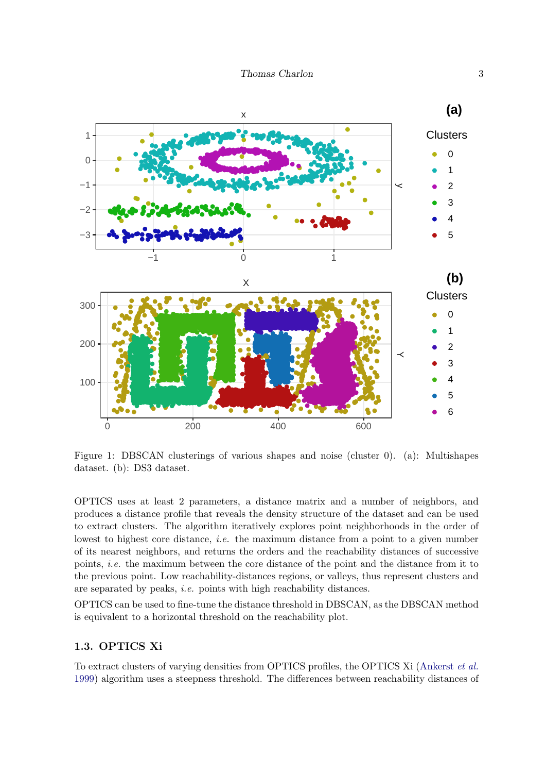

<span id="page-2-0"></span>Figure 1: DBSCAN clusterings of various shapes and noise (cluster 0). (a): Multishapes dataset. (b): DS3 dataset.

OPTICS uses at least 2 parameters, a distance matrix and a number of neighbors, and produces a distance profile that reveals the density structure of the dataset and can be used to extract clusters. The algorithm iteratively explores point neighborhoods in the order of lowest to highest core distance, *i.e.* the maximum distance from a point to a given number of its nearest neighbors, and returns the orders and the reachability distances of successive points, *i.e.* the maximum between the core distance of the point and the distance from it to the previous point. Low reachability-distances regions, or valleys, thus represent clusters and are separated by peaks, *i.e.* points with high reachability distances.

OPTICS can be used to fine-tune the distance threshold in DBSCAN, as the DBSCAN method is equivalent to a horizontal threshold on the reachability plot.

## 1.3. OPTICS Xi

To extract clusters of varying densities from OPTICS profiles, the OPTICS Xi (Ankerst et al. 1999) algorithm uses a steepness threshold. The differences between reachability distances of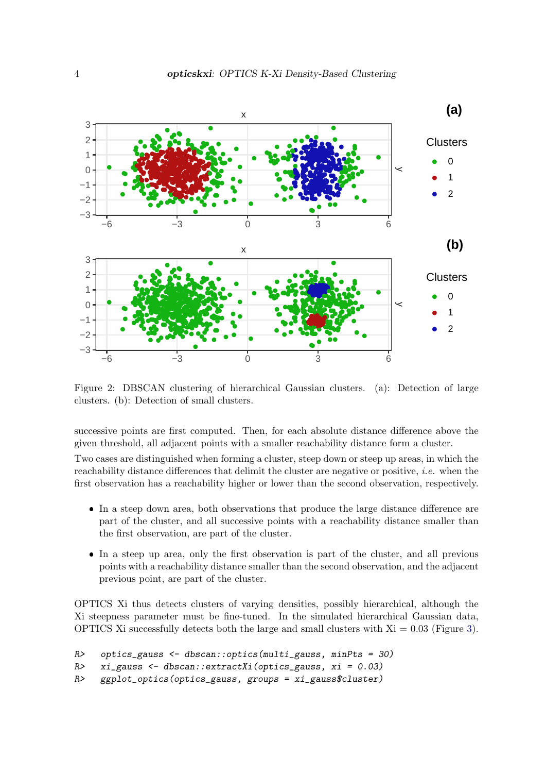

<span id="page-3-0"></span>Figure 2: DBSCAN clustering of hierarchical Gaussian clusters. (a): Detection of large clusters. (b): Detection of small clusters.

successive points are first computed. Then, for each absolute distance difference above the given threshold, all adjacent points with a smaller reachability distance form a cluster.

Two cases are distinguished when forming a cluster, steep down or steep up areas, in which the reachability distance differences that delimit the cluster are negative or positive, *i.e.* when the first observation has a reachability higher or lower than the second observation, respectively.

- In a steep down area, both observations that produce the large distance difference are part of the cluster, and all successive points with a reachability distance smaller than the first observation, are part of the cluster.
- In a steep up area, only the first observation is part of the cluster, and all previous points with a reachability distance smaller than the second observation, and the adjacent previous point, are part of the cluster.

OPTICS Xi thus detects clusters of varying densities, possibly hierarchical, although the Xi steepness parameter must be fine-tuned. In the simulated hierarchical Gaussian data, OPTICS Xi successfully detects both the large and small clusters with  $Xi = 0.03$  (Figure [3\)](#page-4-0).

```
R> optics_gauss <- dbscan::optics(multi_gauss, minPts = 30)
```

```
R> xi_gauss <- dbscan::extractXi(optics_gauss, xi = 0.03)
```

```
R> ggplot_optics(optics_gauss, groups = xi_gauss$cluster)
```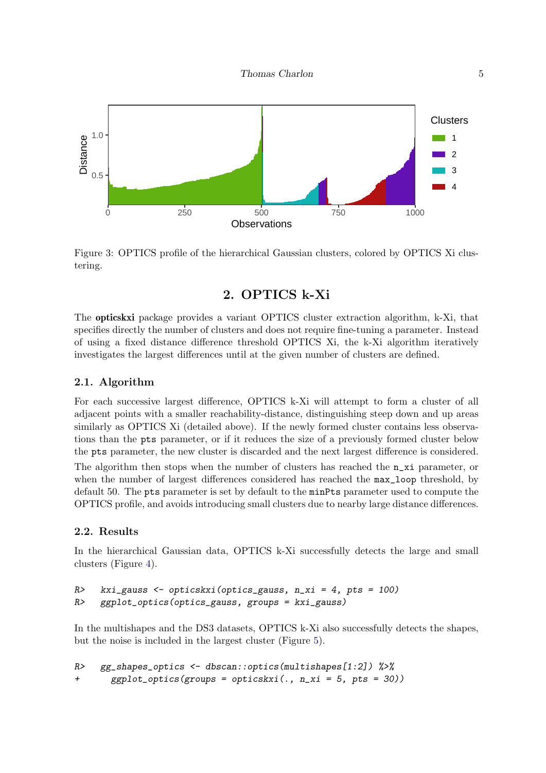

<span id="page-4-0"></span>Figure 3: OPTICS profile of the hierarchical Gaussian clusters, colored by OPTICS Xi clustering.

## 2. OPTICS k-Xi

The opticskxi package provides a variant OPTICS cluster extraction algorithm, k-Xi, that specifies directly the number of clusters and does not require fine-tuning a parameter. Instead of using a fixed distance difference threshold OPTICS Xi, the k-Xi algorithm iteratively investigates the largest differences until at the given number of clusters are defined.

## 2.1. Algorithm

For each successive largest difference, OPTICS k-Xi will attempt to form a cluster of all adjacent points with a smaller reachability-distance, distinguishing steep down and up areas similarly as OPTICS Xi (detailed above). If the newly formed cluster contains less observations than the pts parameter, or if it reduces the size of a previously formed cluster below the pts parameter, the new cluster is discarded and the next largest difference is considered.

The algorithm then stops when the number of clusters has reached the  $n_x$  parameter, or when the number of largest differences considered has reached the  $max\_loop$  threshold, by default 50. The pts parameter is set by default to the minPts parameter used to compute the OPTICS profile, and avoids introducing small clusters due to nearby large distance differences.

## 2.2. Results

In the hierarchical Gaussian data, OPTICS k-Xi successfully detects the large and small clusters (Figure [4\)](#page-5-0).

```
R> kxi_gauss <- opticskxi(optics_gauss, n_xi = 4, pts = 100)
R> ggplot_optics(optics_gauss, groups = kxi_gauss)
```
In the multishapes and the DS3 datasets, OPTICS k-Xi also successfully detects the shapes, but the noise is included in the largest cluster (Figure [5\)](#page-6-0).

```
R> gg_shapes_optics <- dbscan::optics(multishapes[1:2]) %>%
+ ggplot_optics(groups = opticskxi(., n_xi = 5, pts = 30))
```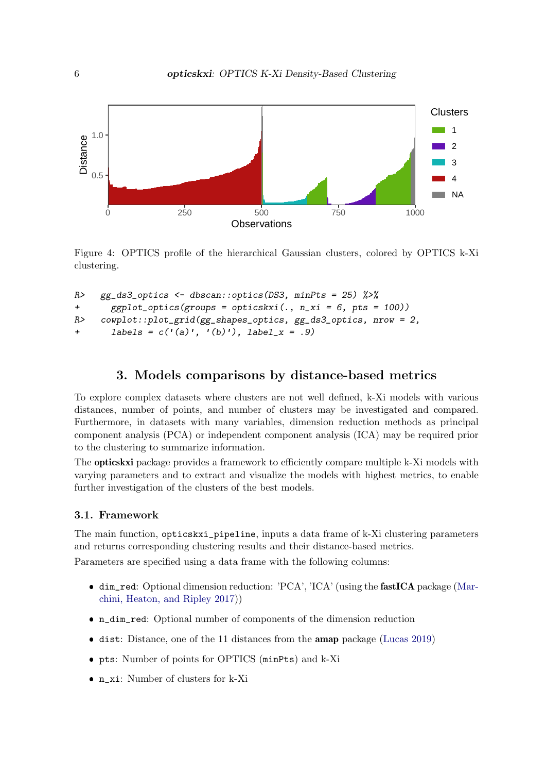

<span id="page-5-0"></span>Figure 4: OPTICS profile of the hierarchical Gaussian clusters, colored by OPTICS k-Xi clustering.

```
R> gg_ds3_optics <- dbscan::optics(DS3, minPts = 25) \frac{1}{2}+ ggplot_optics(groups = opticskxi(., n_xi = 6, pts = 100))
R> cowplot::plot_grid(gg_shapes_optics, gg_ds3_optics, nrow = 2,
+ labels = c('(a)', '(b)'), label_x = .9)
```
## 3. Models comparisons by distance-based metrics

To explore complex datasets where clusters are not well defined, k-Xi models with various distances, number of points, and number of clusters may be investigated and compared. Furthermore, in datasets with many variables, dimension reduction methods as principal component analysis (PCA) or independent component analysis (ICA) may be required prior to the clustering to summarize information.

The **opticskxi** package provides a framework to efficiently compare multiple k-Xi models with varying parameters and to extract and visualize the models with highest metrics, to enable further investigation of the clusters of the best models.

#### 3.1. Framework

The main function, opticskxi\_pipeline, inputs a data frame of k-Xi clustering parameters and returns corresponding clustering results and their distance-based metrics. Parameters are specified using a data frame with the following columns:

- dim\_red: Optional dimension reduction: 'PCA', 'ICA' (using the fastICA package [\(Mar](#page-13-0)[chini, Heaton, and Ripley](#page-13-0) [2017\)](#page-13-0))
- n\_dim\_red: Optional number of components of the dimension reduction
- dist: Distance, one of the 11 distances from the **amap** package [\(Lucas](#page-13-1) [2019\)](#page-13-1)
- pts: Number of points for OPTICS (minPts) and k-Xi
- n\_xi: Number of clusters for k-Xi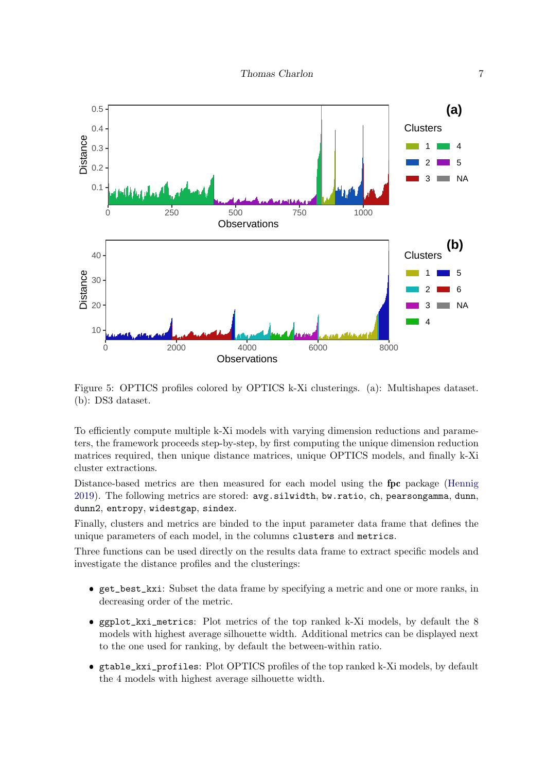

<span id="page-6-0"></span>Figure 5: OPTICS profiles colored by OPTICS k-Xi clusterings. (a): Multishapes dataset. (b): DS3 dataset.

To efficiently compute multiple k-Xi models with varying dimension reductions and parameters, the framework proceeds step-by-step, by first computing the unique dimension reduction matrices required, then unique distance matrices, unique OPTICS models, and finally k-Xi cluster extractions.

Distance-based metrics are then measured for each model using the fpc package [\(Hennig](#page-12-3) [2019\)](#page-12-3). The following metrics are stored: avg.silwidth, bw.ratio, ch, pearsongamma, dunn, dunn2, entropy, widestgap, sindex.

Finally, clusters and metrics are binded to the input parameter data frame that defines the unique parameters of each model, in the columns clusters and metrics.

Three functions can be used directly on the results data frame to extract specific models and investigate the distance profiles and the clusterings:

- get\_best\_kxi: Subset the data frame by specifying a metric and one or more ranks, in decreasing order of the metric.
- ggplot\_kxi\_metrics: Plot metrics of the top ranked k-Xi models, by default the 8 models with highest average silhouette width. Additional metrics can be displayed next to the one used for ranking, by default the between-within ratio.
- gtable\_kxi\_profiles: Plot OPTICS profiles of the top ranked k-Xi models, by default the 4 models with highest average silhouette width.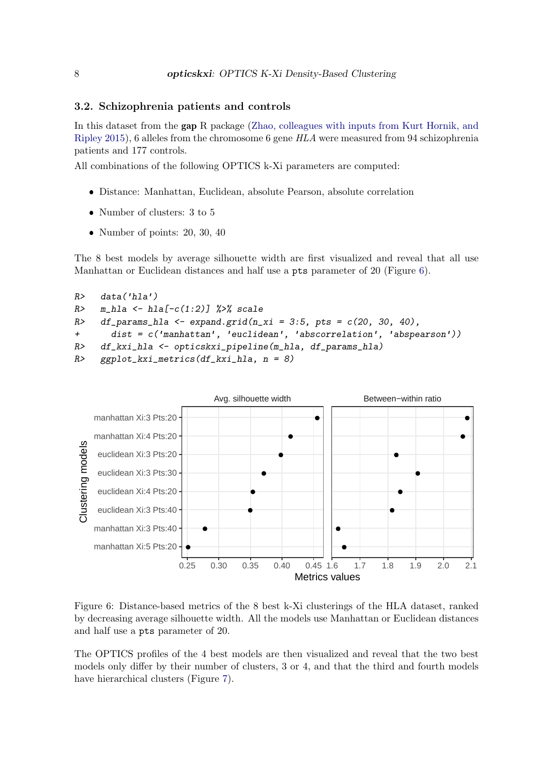#### 3.2. Schizophrenia patients and controls

In this dataset from the gap R package [\(Zhao, colleagues with inputs from Kurt Hornik, and](#page-13-2) [Ripley](#page-13-2) [2015\)](#page-13-2), 6 alleles from the chromosome 6 gene HLA were measured from 94 schizophrenia patients and 177 controls.

All combinations of the following OPTICS k-Xi parameters are computed:

- Distance: Manhattan, Euclidean, absolute Pearson, absolute correlation
- Number of clusters: 3 to 5
- Number of points: 20, 30, 40

The 8 best models by average silhouette width are first visualized and reveal that all use Manhattan or Euclidean distances and half use a pts parameter of 20 (Figure [6\)](#page-7-0).

```
R> data('hla')
R> m_hla <- hla[-c(1:2)] %>% scale
R> df_params_hla <- expand.grid(n_xi = 3:5, pts = c(20, 30, 40),
+ dist = c('manhattan', 'euclidean', 'abscorrelation', 'abspearson'))
R> df_kxi_hla <- opticskxi_pipeline(m_hla, df_params_hla)
R> ggplot_kxi_metrics(df_kxi_hla, n = 8)
```


<span id="page-7-0"></span>Figure 6: Distance-based metrics of the 8 best k-Xi clusterings of the HLA dataset, ranked by decreasing average silhouette width. All the models use Manhattan or Euclidean distances and half use a pts parameter of 20.

The OPTICS profiles of the 4 best models are then visualized and reveal that the two best models only differ by their number of clusters, 3 or 4, and that the third and fourth models have hierarchical clusters (Figure [7\)](#page-8-0).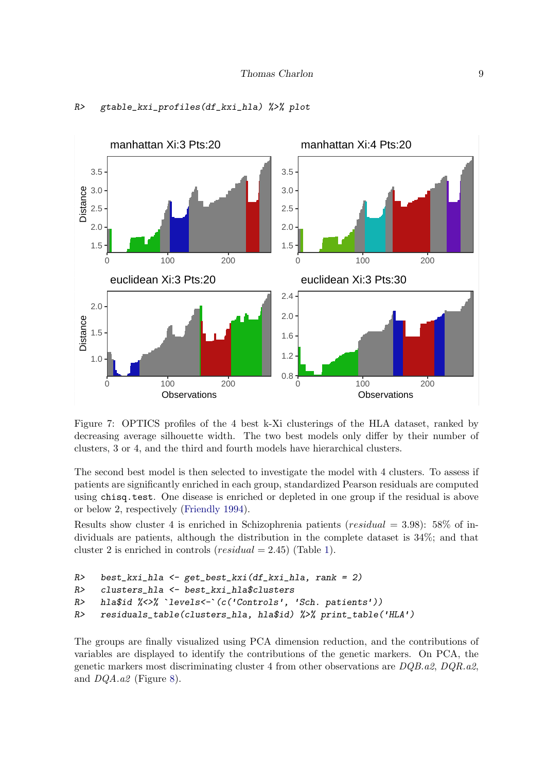

#### R> gtable\_kxi\_profiles(df\_kxi\_hla) %>% plot

<span id="page-8-0"></span>Figure 7: OPTICS profiles of the 4 best k-Xi clusterings of the HLA dataset, ranked by decreasing average silhouette width. The two best models only differ by their number of clusters, 3 or 4, and the third and fourth models have hierarchical clusters.

The second best model is then selected to investigate the model with 4 clusters. To assess if patients are significantly enriched in each group, standardized Pearson residuals are computed using chisq.test. One disease is enriched or depleted in one group if the residual is above or below 2, respectively [\(Friendly](#page-12-4) [1994\)](#page-12-4).

Results show cluster 4 is enriched in Schizophrenia patients ( $residual = 3.98$ ): 58% of individuals are patients, although the distribution in the complete dataset is 34%; and that cluster 2 is enriched in controls ( $residual = 2.45$ ) (Table [1\)](#page-9-0).

```
R> best_kxi_hla <- get_best_kxi(df_kxi_hla, rank = 2)
R> clusters_hla <- best_kxi_hla$clusters
R> hla$id %<>% `levels<-`(c('Controls', 'Sch. patients'))
R> residuals_table(clusters_hla, hla$id) %>% print_table('HLA')
```
The groups are finally visualized using PCA dimension reduction, and the contributions of variables are displayed to identify the contributions of the genetic markers. On PCA, the genetic markers most discriminating cluster 4 from other observations are  $DQB.a2, DQR.a2,$ and DQA.a2 (Figure [8\)](#page-9-1).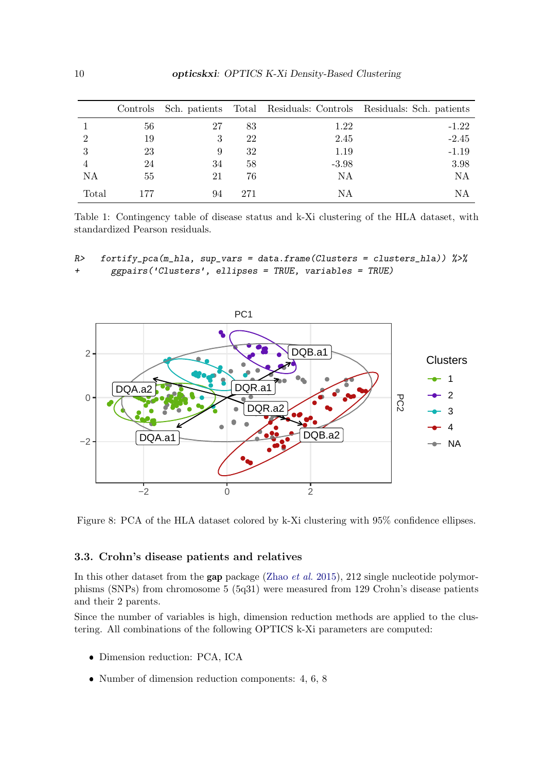|                | Controls |    |     |         | Sch. patients Total Residuals: Controls Residuals: Sch. patients |
|----------------|----------|----|-----|---------|------------------------------------------------------------------|
|                | 56       | 27 | 83  | 1.22    | $-1.22$                                                          |
| $\overline{2}$ | 19       | 3  | 22  | 2.45    | $-2.45$                                                          |
| 3              | 23       | 9  | 32  | 1.19    | $-1.19$                                                          |
| 4              | 24       | 34 | 58  | $-3.98$ | 3.98                                                             |
| ΝA             | 55       | 21 | 76  | ΝA      | ΝA                                                               |
| Total          | 177      | 94 | 271 | ΝA      | ΝA                                                               |

<span id="page-9-0"></span>Table 1: Contingency table of disease status and k-Xi clustering of the HLA dataset, with standardized Pearson residuals.

R> fortify\_pca(m\_hla, sup\_vars = data.frame(Clusters = clusters\_hla))  $\frac{2}{\sqrt{5}}$ + ggpairs('Clusters', ellipses = TRUE, variables = TRUE)



<span id="page-9-1"></span>Figure 8: PCA of the HLA dataset colored by k-Xi clustering with 95% confidence ellipses.

## 3.3. Crohn's disease patients and relatives

In this other dataset from the gap package [\(Zhao](#page-13-2) *et al.* [2015\)](#page-13-2), 212 single nucleotide polymorphisms (SNPs) from chromosome 5 (5q31) were measured from 129 Crohn's disease patients and their 2 parents.

Since the number of variables is high, dimension reduction methods are applied to the clustering. All combinations of the following OPTICS k-Xi parameters are computed:

- Dimension reduction: PCA, ICA
- Number of dimension reduction components: 4, 6, 8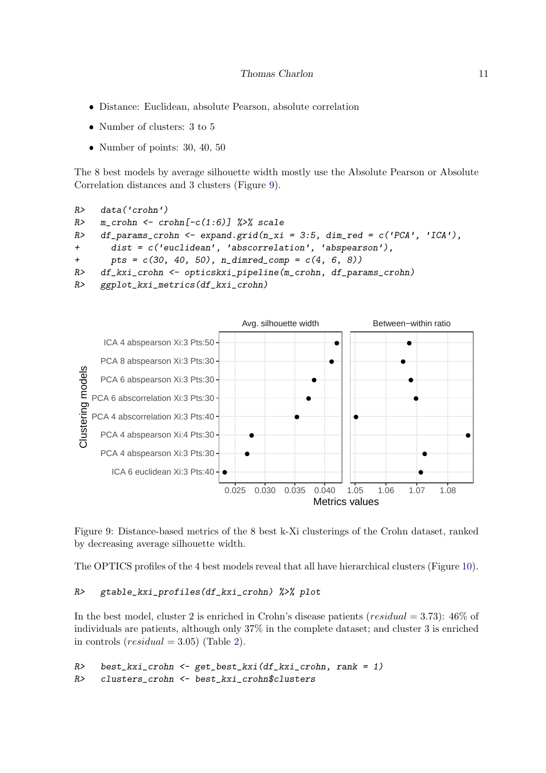- Distance: Euclidean, absolute Pearson, absolute correlation
- $\bullet$  Number of clusters: 3 to 5
- Number of points: 30, 40, 50

The 8 best models by average silhouette width mostly use the Absolute Pearson or Absolute Correlation distances and 3 clusters (Figure [9\)](#page-10-0).

```
R> data('crohn')
R> m_crohn <- crohn[-c(1:6)] %>% scale
R> df_params_crohn <- expand.grid(n_xi = 3:5, dim_red = c('PCA', 'ICA'),
      dist = c('euclidean', 'abscorrelation', 'abs+ pts = c(30, 40, 50), n_dimred_comp = c(4, 6, 8))
R> df_kxi_crohn <- opticskxi_pipeline(m_crohn, df_params_crohn)
R> ggplot_kxi_metrics(df_kxi_crohn)
```


<span id="page-10-0"></span>Figure 9: Distance-based metrics of the 8 best k-Xi clusterings of the Crohn dataset, ranked by decreasing average silhouette width.

The OPTICS profiles of the 4 best models reveal that all have hierarchical clusters (Figure [10\)](#page-11-0).

#### R> gtable\_kxi\_profiles(df\_kxi\_crohn) %>% plot

In the best model, cluster 2 is enriched in Crohn's disease patients ( $residual = 3.73$ ):  $46\%$  of individuals are patients, although only 37% in the complete dataset; and cluster 3 is enriched in controls  $(residual = 3.05)$  (Table [2\)](#page-12-5).

```
R> best_kxi_crohn <- get_best_kxi(df_kxi_crohn, rank = 1)
R> clusters_crohn <- best_kxi_crohn$clusters
```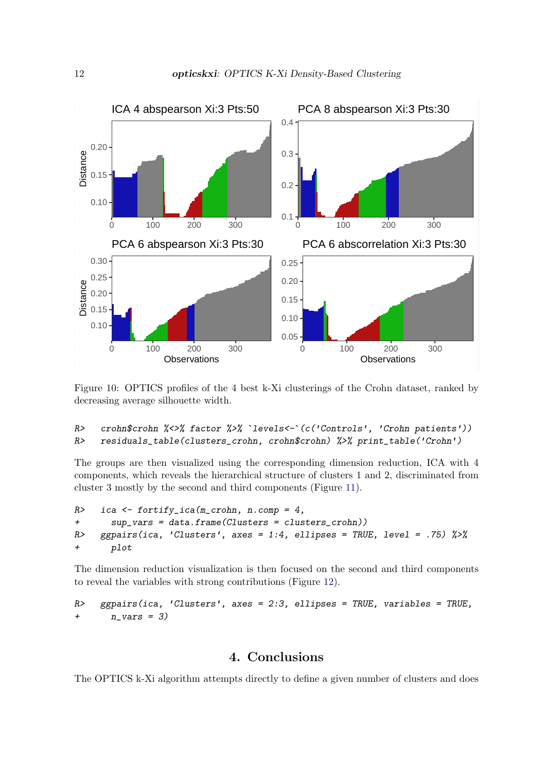

<span id="page-11-0"></span>Figure 10: OPTICS profiles of the 4 best k-Xi clusterings of the Crohn dataset, ranked by decreasing average silhouette width.

```
R> crohn$crohn %<>% factor %>% `levels<-`(c('Controls', 'Crohn patients'))
R> residuals_table(clusters_crohn, crohn$crohn) %>% print_table('Crohn')
```
The groups are then visualized using the corresponding dimension reduction, ICA with 4 components, which reveals the hierarchical structure of clusters 1 and 2, discriminated from cluster 3 mostly by the second and third components (Figure [11\)](#page-14-0).

```
R> ica <- fortify_ica(m_crohn, n.comp = 4,
+ sup_vars = data.frame(Clusters = clusters_crohn))
R> ggpairs(ica, 'Clusters', axes = 1:4, ellipses = TRUE, level = .75) \frac{1}{2}+ plot
```
The dimension reduction visualization is then focused on the second and third components to reveal the variables with strong contributions (Figure [12\)](#page-15-0).

```
R> ggpairs(ica, 'Clusters', axes = 2:3, ellipses = TRUE, variables = TRUE,
+ n_{vars} = 3)
```
## 4. Conclusions

The OPTICS k-Xi algorithm attempts directly to define a given number of clusters and does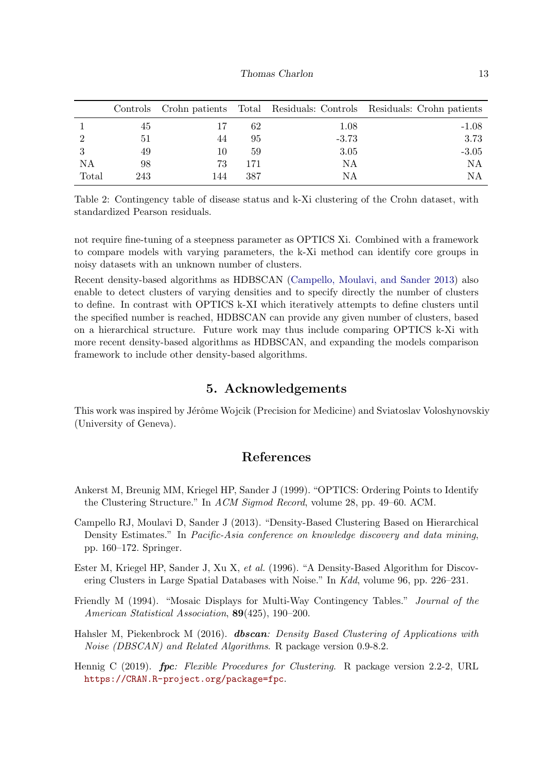|       |     |     |     |         | Controls Crohn patients Total Residuals: Controls Residuals: Crohn patients |
|-------|-----|-----|-----|---------|-----------------------------------------------------------------------------|
|       | 45  |     | 62  | 1.08    | $-1.08$                                                                     |
|       | 51  | 44  | 95  | $-3.73$ | 3.73                                                                        |
|       | 49  | 10  | 59  | 3.05    | $-3.05$                                                                     |
| NA    | 98  | 73  | 171 | ΝA      | ΝA                                                                          |
| Total | 243 | 144 | 387 | NΑ      | ΝA                                                                          |

<span id="page-12-5"></span>Table 2: Contingency table of disease status and k-Xi clustering of the Crohn dataset, with standardized Pearson residuals.

not require fine-tuning of a steepness parameter as OPTICS Xi. Combined with a framework to compare models with varying parameters, the k-Xi method can identify core groups in noisy datasets with an unknown number of clusters.

Recent density-based algorithms as HDBSCAN [\(Campello, Moulavi, and Sander](#page-12-6) [2013\)](#page-12-6) also enable to detect clusters of varying densities and to specify directly the number of clusters to define. In contrast with OPTICS k-XI which iteratively attempts to define clusters until the specified number is reached, HDBSCAN can provide any given number of clusters, based on a hierarchical structure. Future work may thus include comparing OPTICS k-Xi with more recent density-based algorithms as HDBSCAN, and expanding the models comparison framework to include other density-based algorithms.

## 5. Acknowledgements

This work was inspired by Jérôme Wojcik (Precision for Medicine) and Sviatoslav Voloshynovskiy (University of Geneva).

## References

- <span id="page-12-2"></span>Ankerst M, Breunig MM, Kriegel HP, Sander J (1999). "OPTICS: Ordering Points to Identify the Clustering Structure." In ACM Sigmod Record, volume 28, pp. 49–60. ACM.
- <span id="page-12-6"></span>Campello RJ, Moulavi D, Sander J (2013). "Density-Based Clustering Based on Hierarchical Density Estimates." In Pacific-Asia conference on knowledge discovery and data mining, pp. 160–172. Springer.
- <span id="page-12-1"></span>Ester M, Kriegel HP, Sander J, Xu X, et al. (1996). "A Density-Based Algorithm for Discovering Clusters in Large Spatial Databases with Noise." In Kdd, volume 96, pp. 226–231.
- <span id="page-12-4"></span>Friendly M (1994). "Mosaic Displays for Multi-Way Contingency Tables." Journal of the American Statistical Association, 89(425), 190–200.
- <span id="page-12-0"></span>Hahsler M, Piekenbrock M (2016). **dbscan**: Density Based Clustering of Applications with Noise (DBSCAN) and Related Algorithms. R package version 0.9-8.2.
- <span id="page-12-3"></span>Hennig C (2019). fpc: Flexible Procedures for Clustering. R package version 2.2-2, URL <https://CRAN.R-project.org/package=fpc>.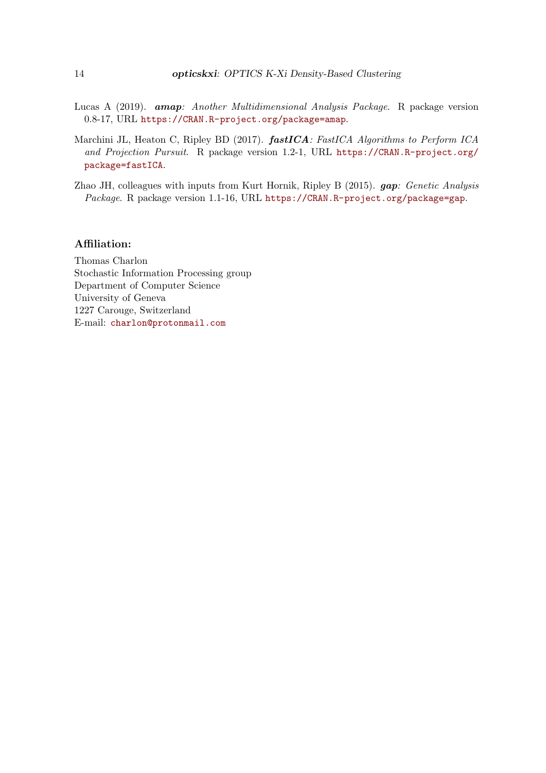- <span id="page-13-1"></span>Lucas A (2019). amap: Another Multidimensional Analysis Package. R package version 0.8-17, URL <https://CRAN.R-project.org/package=amap>.
- <span id="page-13-0"></span>Marchini JL, Heaton C, Ripley BD (2017). fastICA: FastICA Algorithms to Perform ICA and Projection Pursuit. R package version 1.2-1, URL [https://CRAN.R-project.org/](https://CRAN.R-project.org/package=fastICA) [package=fastICA](https://CRAN.R-project.org/package=fastICA).
- <span id="page-13-2"></span>Zhao JH, colleagues with inputs from Kurt Hornik, Ripley B (2015). gap: Genetic Analysis Package. R package version 1.1-16, URL <https://CRAN.R-project.org/package=gap>.

#### Affiliation:

Thomas Charlon Stochastic Information Processing group Department of Computer Science University of Geneva 1227 Carouge, Switzerland E-mail: [charlon@protonmail.com](mailto:charlon@protonmail.com)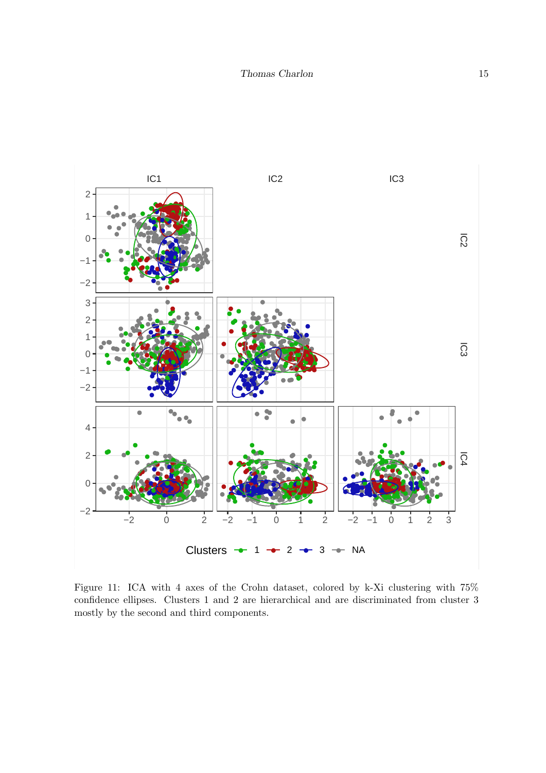

<span id="page-14-0"></span>Figure 11: ICA with 4 axes of the Crohn dataset, colored by k-Xi clustering with 75% confidence ellipses. Clusters 1 and 2 are hierarchical and are discriminated from cluster  $3$ mostly by the second and third components.